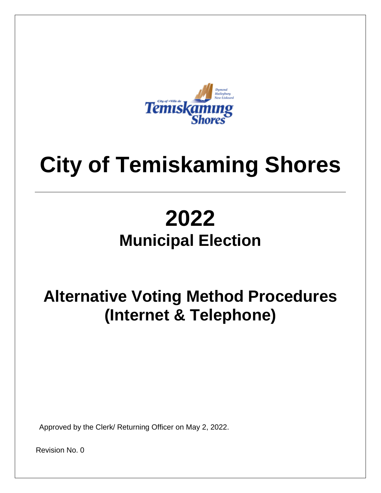

# **City of Temiskaming Shores**

## **2022 Municipal Election**

### **Alternative Voting Method Procedures (Internet & Telephone)**

Approved by the Clerk/ Returning Officer on May 2, 2022.

Revision No. 0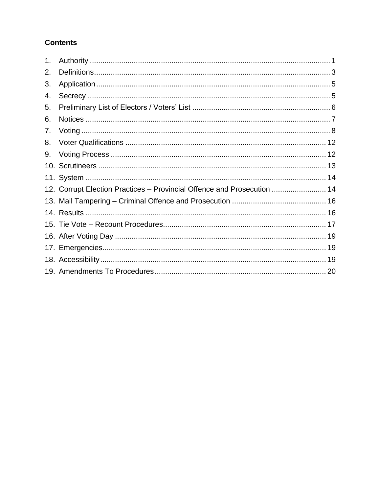#### **Contents**

| 1. |                                                                         |  |
|----|-------------------------------------------------------------------------|--|
| 2. |                                                                         |  |
| 3. |                                                                         |  |
| 4. |                                                                         |  |
| 5. |                                                                         |  |
| 6. |                                                                         |  |
| 7. |                                                                         |  |
| 8. |                                                                         |  |
| 9. |                                                                         |  |
|    |                                                                         |  |
|    |                                                                         |  |
|    | 12. Corrupt Election Practices - Provincial Offence and Prosecution  14 |  |
|    |                                                                         |  |
|    |                                                                         |  |
|    |                                                                         |  |
|    |                                                                         |  |
|    |                                                                         |  |
|    |                                                                         |  |
|    |                                                                         |  |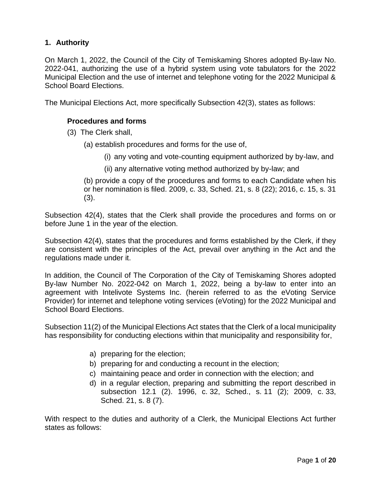#### <span id="page-2-0"></span>**1. Authority**

On March 1, 2022, the Council of the City of Temiskaming Shores adopted By-law No. 2022-041, authorizing the use of a hybrid system using vote tabulators for the 2022 Municipal Election and the use of internet and telephone voting for the 2022 Municipal & School Board Elections.

The Municipal Elections Act, more specifically Subsection 42(3), states as follows:

#### **Procedures and forms**

- (3) The Clerk shall,
	- (a) establish procedures and forms for the use of,
		- (i) any voting and vote-counting equipment authorized by by-law, and
		- (ii) any alternative voting method authorized by by-law; and

(b) provide a copy of the procedures and forms to each Candidate when his or her nomination is filed. 2009, c. 33, Sched. 21, s. 8 (22); 2016, c. 15, s. 31 (3).

Subsection 42(4), states that the Clerk shall provide the procedures and forms on or before June 1 in the year of the election.

Subsection 42(4), states that the procedures and forms established by the Clerk, if they are consistent with the principles of the Act, prevail over anything in the Act and the regulations made under it.

In addition, the Council of The Corporation of the City of Temiskaming Shores adopted By-law Number No. 2022-042 on March 1, 2022, being a by-law to enter into an agreement with Intelivote Systems Inc. (herein referred to as the eVoting Service Provider) for internet and telephone voting services (eVoting) for the 2022 Municipal and School Board Elections.

Subsection 11(2) of the Municipal Elections Act states that the Clerk of a local municipality has responsibility for conducting elections within that municipality and responsibility for,

- a) preparing for the election;
- b) preparing for and conducting a recount in the election;
- c) maintaining peace and order in connection with the election; and
- d) in a regular election, preparing and submitting the report described in subsection 12.1 (2). 1996, c. 32, Sched., s. 11 (2); 2009, c. 33, Sched. 21, s. 8 (7).

With respect to the duties and authority of a Clerk, the Municipal Elections Act further states as follows: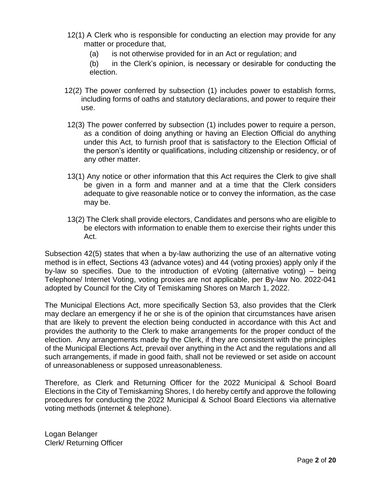- 12(1) A Clerk who is responsible for conducting an election may provide for any matter or procedure that,
	- (a) is not otherwise provided for in an Act or regulation; and
	- (b) in the Clerk's opinion, is necessary or desirable for conducting the election.
- 12(2) The power conferred by subsection (1) includes power to establish forms, including forms of oaths and statutory declarations, and power to require their use.
- 12(3) The power conferred by subsection (1) includes power to require a person, as a condition of doing anything or having an Election Official do anything under this Act, to furnish proof that is satisfactory to the Election Official of the person's identity or qualifications, including citizenship or residency, or of any other matter.
- 13(1) Any notice or other information that this Act requires the Clerk to give shall be given in a form and manner and at a time that the Clerk considers adequate to give reasonable notice or to convey the information, as the case may be.
- 13(2) The Clerk shall provide electors, Candidates and persons who are eligible to be electors with information to enable them to exercise their rights under this Act.

Subsection 42(5) states that when a by-law authorizing the use of an alternative voting method is in effect, Sections 43 (advance votes) and 44 (voting proxies) apply only if the by-law so specifies. Due to the introduction of eVoting (alternative voting) – being Telephone/ Internet Voting, voting proxies are not applicable, per By-law No. 2022-041 adopted by Council for the City of Temiskaming Shores on March 1, 2022.

The Municipal Elections Act, more specifically Section 53, also provides that the Clerk may declare an emergency if he or she is of the opinion that circumstances have arisen that are likely to prevent the election being conducted in accordance with this Act and provides the authority to the Clerk to make arrangements for the proper conduct of the election. Any arrangements made by the Clerk, if they are consistent with the principles of the Municipal Elections Act, prevail over anything in the Act and the regulations and all such arrangements, if made in good faith, shall not be reviewed or set aside on account of unreasonableness or supposed unreasonableness.

Therefore, as Clerk and Returning Officer for the 2022 Municipal & School Board Elections in the City of Temiskaming Shores, I do hereby certify and approve the following procedures for conducting the 2022 Municipal & School Board Elections via alternative voting methods (internet & telephone).

Logan Belanger Clerk/ Returning Officer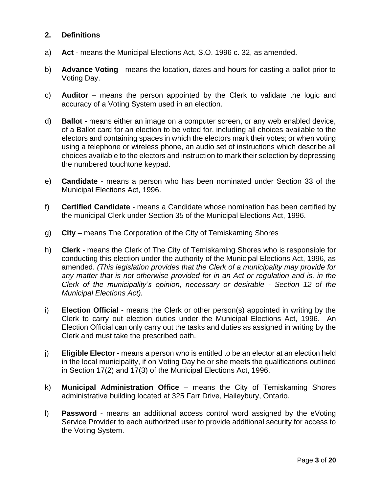#### <span id="page-4-0"></span>**2. Definitions**

- a) **Act**  means the Municipal Elections Act, S.O. 1996 c. 32, as amended.
- b) **Advance Voting** means the location, dates and hours for casting a ballot prior to Voting Day.
- c) **Auditor** means the person appointed by the Clerk to validate the logic and accuracy of a Voting System used in an election.
- d) **Ballot** means either an image on a computer screen, or any web enabled device, of a Ballot card for an election to be voted for, including all choices available to the electors and containing spaces in which the electors mark their votes; or when voting using a telephone or wireless phone, an audio set of instructions which describe all choices available to the electors and instruction to mark their selection by depressing the numbered touchtone keypad.
- e) **Candidate** means a person who has been nominated under Section 33 of the Municipal Elections Act, 1996.
- f) **Certified Candidate**  means a Candidate whose nomination has been certified by the municipal Clerk under Section 35 of the Municipal Elections Act, 1996.
- g) **City** means The Corporation of the City of Temiskaming Shores
- h) **Clerk** means the Clerk of The City of Temiskaming Shores who is responsible for conducting this election under the authority of the Municipal Elections Act, 1996, as amended. *(This legislation provides that the Clerk of a municipality may provide for any matter that is not otherwise provided for in an Act or regulation and is, in the Clerk of the municipality's opinion, necessary or desirable - Section 12 of the Municipal Elections Act).*
- i) **Election Official** means the Clerk or other person(s) appointed in writing by the Clerk to carry out election duties under the Municipal Elections Act, 1996. An Election Official can only carry out the tasks and duties as assigned in writing by the Clerk and must take the prescribed oath.
- j) **Eligible Elector**  means a person who is entitled to be an elector at an election held in the local municipality, if on Voting Day he or she meets the qualifications outlined in Section 17(2) and 17(3) of the Municipal Elections Act, 1996.
- k) **Municipal Administration Office** means the City of Temiskaming Shores administrative building located at 325 Farr Drive, Haileybury, Ontario.
- l) **Password** means an additional access control word assigned by the eVoting Service Provider to each authorized user to provide additional security for access to the Voting System.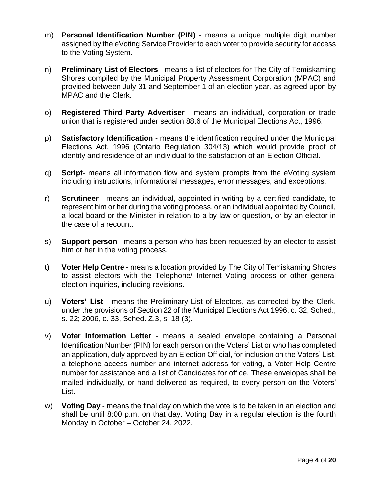- m) **Personal Identification Number (PIN)** means a unique multiple digit number assigned by the eVoting Service Provider to each voter to provide security for access to the Voting System.
- n) **Preliminary List of Electors**  means a list of electors for The City of Temiskaming Shores compiled by the Municipal Property Assessment Corporation (MPAC) and provided between July 31 and September 1 of an election year, as agreed upon by MPAC and the Clerk.
- o) **Registered Third Party Advertiser** means an individual, corporation or trade union that is registered under section 88.6 of the Municipal Elections Act, 1996.
- p) **Satisfactory Identification**  means the identification required under the Municipal Elections Act, 1996 (Ontario Regulation 304/13) which would provide proof of identity and residence of an individual to the satisfaction of an Election Official.
- q) **Script** means all information flow and system prompts from the eVoting system including instructions, informational messages, error messages, and exceptions.
- r) **Scrutineer**  means an individual, appointed in writing by a certified candidate, to represent him or her during the voting process, or an individual appointed by Council, a local board or the Minister in relation to a by-law or question, or by an elector in the case of a recount.
- s) **Support person**  means a person who has been requested by an elector to assist him or her in the voting process.
- t) **Voter Help Centre** means a location provided by The City of Temiskaming Shores to assist electors with the Telephone/ Internet Voting process or other general election inquiries, including revisions.
- u) **Voters' List** means the Preliminary List of Electors, as corrected by the Clerk, under the provisions of Section 22 of the Municipal Elections Act 1996, c. 32, Sched., s. 22; 2006, c. 33, Sched. Z.3, s. 18 (3).
- v) **Voter Information Letter** means a sealed envelope containing a Personal Identification Number (PIN) for each person on the Voters' List or who has completed an application, duly approved by an Election Official, for inclusion on the Voters' List, a telephone access number and internet address for voting, a Voter Help Centre number for assistance and a list of Candidates for office. These envelopes shall be mailed individually, or hand-delivered as required, to every person on the Voters' List.
- w) **Voting Day** means the final day on which the vote is to be taken in an election and shall be until 8:00 p.m. on that day. Voting Day in a regular election is the fourth Monday in October – October 24, 2022.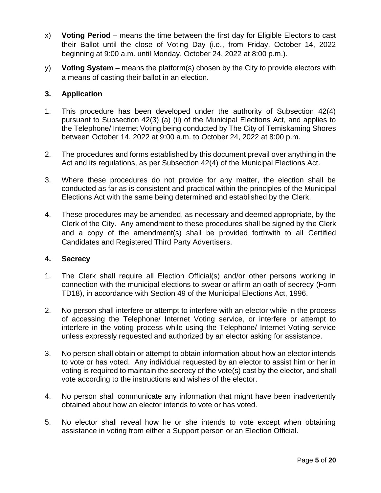- x) **Voting Period** means the time between the first day for Eligible Electors to cast their Ballot until the close of Voting Day (i.e., from Friday, October 14, 2022 beginning at 9:00 a.m. until Monday, October 24, 2022 at 8:00 p.m.).
- y) **Voting System** means the platform(s) chosen by the City to provide electors with a means of casting their ballot in an election.

#### <span id="page-6-0"></span>**3. Application**

- 1. This procedure has been developed under the authority of Subsection 42(4) pursuant to Subsection 42(3) (a) (ii) of the Municipal Elections Act, and applies to the Telephone/ Internet Voting being conducted by The City of Temiskaming Shores between October 14, 2022 at 9:00 a.m. to October 24, 2022 at 8:00 p.m.
- 2. The procedures and forms established by this document prevail over anything in the Act and its regulations, as per Subsection 42(4) of the Municipal Elections Act.
- 3. Where these procedures do not provide for any matter, the election shall be conducted as far as is consistent and practical within the principles of the Municipal Elections Act with the same being determined and established by the Clerk.
- 4. These procedures may be amended, as necessary and deemed appropriate, by the Clerk of the City. Any amendment to these procedures shall be signed by the Clerk and a copy of the amendment(s) shall be provided forthwith to all Certified Candidates and Registered Third Party Advertisers.

#### <span id="page-6-1"></span>**4. Secrecy**

- 1. The Clerk shall require all Election Official(s) and/or other persons working in connection with the municipal elections to swear or affirm an oath of secrecy (Form TD18), in accordance with Section 49 of the Municipal Elections Act, 1996.
- 2. No person shall interfere or attempt to interfere with an elector while in the process of accessing the Telephone/ Internet Voting service, or interfere or attempt to interfere in the voting process while using the Telephone/ Internet Voting service unless expressly requested and authorized by an elector asking for assistance.
- 3. No person shall obtain or attempt to obtain information about how an elector intends to vote or has voted. Any individual requested by an elector to assist him or her in voting is required to maintain the secrecy of the vote(s) cast by the elector, and shall vote according to the instructions and wishes of the elector.
- 4. No person shall communicate any information that might have been inadvertently obtained about how an elector intends to vote or has voted.
- 5. No elector shall reveal how he or she intends to vote except when obtaining assistance in voting from either a Support person or an Election Official.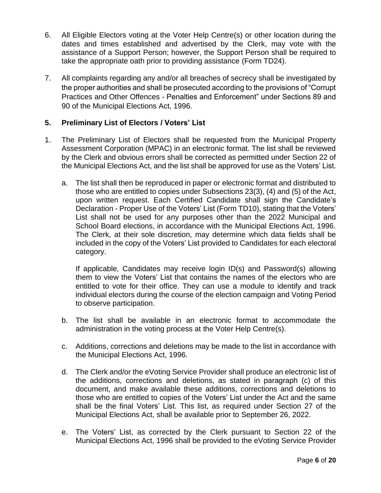- 6. All Eligible Electors voting at the Voter Help Centre(s) or other location during the dates and times established and advertised by the Clerk, may vote with the assistance of a Support Person; however, the Support Person shall be required to take the appropriate oath prior to providing assistance (Form TD24).
- 7. All complaints regarding any and/or all breaches of secrecy shall be investigated by the proper authorities and shall be prosecuted according to the provisions of "Corrupt Practices and Other Offences - Penalties and Enforcement" under Sections 89 and 90 of the Municipal Elections Act, 1996.

#### <span id="page-7-0"></span>**5. Preliminary List of Electors / Voters' List**

- 1. The Preliminary List of Electors shall be requested from the Municipal Property Assessment Corporation (MPAC) in an electronic format. The list shall be reviewed by the Clerk and obvious errors shall be corrected as permitted under Section 22 of the Municipal Elections Act, and the list shall be approved for use as the Voters' List.
	- a. The list shall then be reproduced in paper or electronic format and distributed to those who are entitled to copies under Subsections 23(3), (4) and (5) of the Act, upon written request. Each Certified Candidate shall sign the Candidate's Declaration - Proper Use of the Voters' List (Form TD10), stating that the Voters' List shall not be used for any purposes other than the 2022 Municipal and School Board elections, in accordance with the Municipal Elections Act, 1996. The Clerk, at their sole discretion, may determine which data fields shall be included in the copy of the Voters' List provided to Candidates for each electoral category.

If applicable, Candidates may receive login ID(s) and Password(s) allowing them to view the Voters' List that contains the names of the electors who are entitled to vote for their office. They can use a module to identify and track individual electors during the course of the election campaign and Voting Period to observe participation.

- b. The list shall be available in an electronic format to accommodate the administration in the voting process at the Voter Help Centre(s).
- c. Additions, corrections and deletions may be made to the list in accordance with the Municipal Elections Act, 1996.
- d. The Clerk and/or the eVoting Service Provider shall produce an electronic list of the additions, corrections and deletions, as stated in paragraph (c) of this document, and make available these additions, corrections and deletions to those who are entitled to copies of the Voters' List under the Act and the same shall be the final Voters' List. This list, as required under Section 27 of the Municipal Elections Act, shall be available prior to September 26, 2022.
- e. The Voters' List, as corrected by the Clerk pursuant to Section 22 of the Municipal Elections Act, 1996 shall be provided to the eVoting Service Provider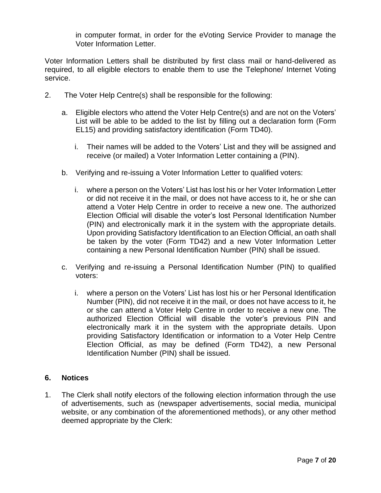in computer format, in order for the eVoting Service Provider to manage the Voter Information Letter.

Voter Information Letters shall be distributed by first class mail or hand-delivered as required, to all eligible electors to enable them to use the Telephone/ Internet Voting service.

- 2. The Voter Help Centre(s) shall be responsible for the following:
	- a. Eligible electors who attend the Voter Help Centre(s) and are not on the Voters' List will be able to be added to the list by filling out a declaration form (Form EL15) and providing satisfactory identification (Form TD40).
		- i. Their names will be added to the Voters' List and they will be assigned and receive (or mailed) a Voter Information Letter containing a (PIN).
	- b. Verifying and re-issuing a Voter Information Letter to qualified voters:
		- i. where a person on the Voters' List has lost his or her Voter Information Letter or did not receive it in the mail, or does not have access to it, he or she can attend a Voter Help Centre in order to receive a new one. The authorized Election Official will disable the voter's lost Personal Identification Number (PIN) and electronically mark it in the system with the appropriate details. Upon providing Satisfactory Identification to an Election Official, an oath shall be taken by the voter (Form TD42) and a new Voter Information Letter containing a new Personal Identification Number (PIN) shall be issued.
	- c. Verifying and re-issuing a Personal Identification Number (PIN) to qualified voters:
		- i. where a person on the Voters' List has lost his or her Personal Identification Number (PIN), did not receive it in the mail, or does not have access to it, he or she can attend a Voter Help Centre in order to receive a new one. The authorized Election Official will disable the voter's previous PIN and electronically mark it in the system with the appropriate details. Upon providing Satisfactory Identification or information to a Voter Help Centre Election Official, as may be defined (Form TD42), a new Personal Identification Number (PIN) shall be issued.

#### <span id="page-8-0"></span>**6. Notices**

1. The Clerk shall notify electors of the following election information through the use of advertisements, such as (newspaper advertisements, social media, municipal website, or any combination of the aforementioned methods), or any other method deemed appropriate by the Clerk: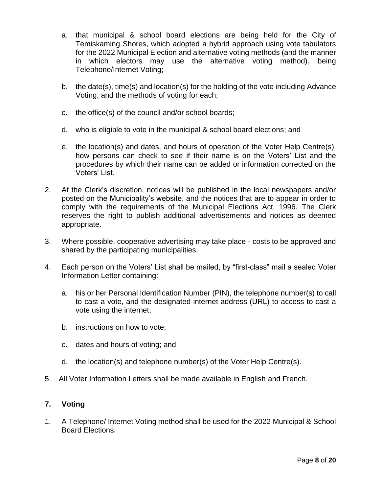- a. that municipal & school board elections are being held for the City of Temiskaming Shores, which adopted a hybrid approach using vote tabulators for the 2022 Municipal Election and alternative voting methods (and the manner in which electors may use the alternative voting method), being Telephone/Internet Voting;
- b. the date(s), time(s) and location(s) for the holding of the vote including Advance Voting, and the methods of voting for each;
- c. the office(s) of the council and/or school boards;
- d. who is eligible to vote in the municipal & school board elections; and
- e. the location(s) and dates, and hours of operation of the Voter Help Centre(s), how persons can check to see if their name is on the Voters' List and the procedures by which their name can be added or information corrected on the Voters' List.
- 2. At the Clerk's discretion, notices will be published in the local newspapers and/or posted on the Municipality's website, and the notices that are to appear in order to comply with the requirements of the Municipal Elections Act, 1996. The Clerk reserves the right to publish additional advertisements and notices as deemed appropriate.
- 3. Where possible, cooperative advertising may take place costs to be approved and shared by the participating municipalities.
- 4. Each person on the Voters' List shall be mailed, by "first-class" mail a sealed Voter Information Letter containing:
	- a. his or her Personal Identification Number (PIN), the telephone number(s) to call to cast a vote, and the designated internet address (URL) to access to cast a vote using the internet;
	- b. instructions on how to vote;
	- c. dates and hours of voting; and
	- d. the location(s) and telephone number(s) of the Voter Help Centre(s).
- 5. All Voter Information Letters shall be made available in English and French.

#### <span id="page-9-0"></span>**7. Voting**

1. A Telephone/ Internet Voting method shall be used for the 2022 Municipal & School Board Elections.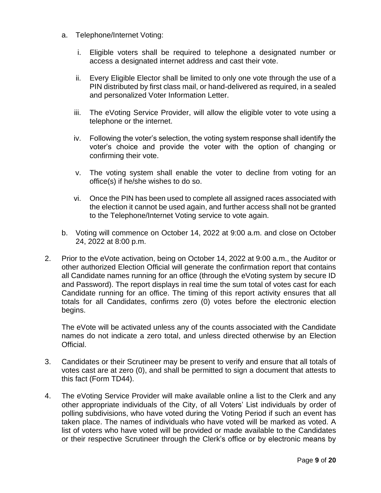- a. Telephone/Internet Voting:
	- i. Eligible voters shall be required to telephone a designated number or access a designated internet address and cast their vote.
	- ii. Every Eligible Elector shall be limited to only one vote through the use of a PIN distributed by first class mail, or hand-delivered as required, in a sealed and personalized Voter Information Letter.
	- iii. The eVoting Service Provider, will allow the eligible voter to vote using a telephone or the internet.
	- iv. Following the voter's selection, the voting system response shall identify the voter's choice and provide the voter with the option of changing or confirming their vote.
	- v. The voting system shall enable the voter to decline from voting for an office(s) if he/she wishes to do so.
	- vi. Once the PIN has been used to complete all assigned races associated with the election it cannot be used again, and further access shall not be granted to the Telephone/Internet Voting service to vote again.
- b. Voting will commence on October 14, 2022 at 9:00 a.m. and close on October 24, 2022 at 8:00 p.m.
- 2. Prior to the eVote activation, being on October 14, 2022 at 9:00 a.m., the Auditor or other authorized Election Official will generate the confirmation report that contains all Candidate names running for an office (through the eVoting system by secure ID and Password). The report displays in real time the sum total of votes cast for each Candidate running for an office. The timing of this report activity ensures that all totals for all Candidates, confirms zero (0) votes before the electronic election begins.

The eVote will be activated unless any of the counts associated with the Candidate names do not indicate a zero total, and unless directed otherwise by an Election Official.

- 3. Candidates or their Scrutineer may be present to verify and ensure that all totals of votes cast are at zero (0), and shall be permitted to sign a document that attests to this fact (Form TD44).
- 4. The eVoting Service Provider will make available online a list to the Clerk and any other appropriate individuals of the City, of all Voters' List individuals by order of polling subdivisions, who have voted during the Voting Period if such an event has taken place. The names of individuals who have voted will be marked as voted. A list of voters who have voted will be provided or made available to the Candidates or their respective Scrutineer through the Clerk's office or by electronic means by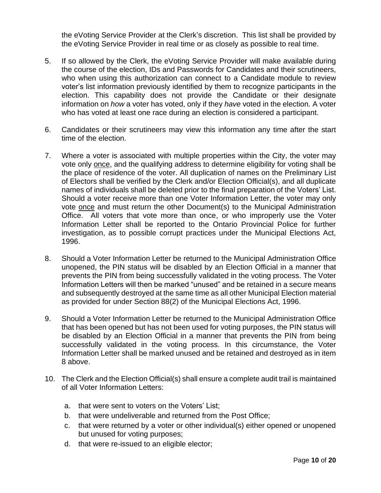the eVoting Service Provider at the Clerk's discretion. This list shall be provided by the eVoting Service Provider in real time or as closely as possible to real time.

- 5. If so allowed by the Clerk, the eVoting Service Provider will make available during the course of the election, IDs and Passwords for Candidates and their scrutineers, who when using this authorization can connect to a Candidate module to review voter's list information previously identified by them to recognize participants in the election. This capability does not provide the Candidate or their designate information on *how* a voter has voted, only if they *have* voted in the election. A voter who has voted at least one race during an election is considered a participant.
- 6. Candidates or their scrutineers may view this information any time after the start time of the election.
- 7. Where a voter is associated with multiple properties within the City, the voter may vote only once, and the qualifying address to determine eligibility for voting shall be the place of residence of the voter. All duplication of names on the Preliminary List of Electors shall be verified by the Clerk and/or Election Official(s), and all duplicate names of individuals shall be deleted prior to the final preparation of the Voters' List. Should a voter receive more than one Voter Information Letter, the voter may only vote once and must return the other Document(s) to the Municipal Administration Office. All voters that vote more than once, or who improperly use the Voter Information Letter shall be reported to the Ontario Provincial Police for further investigation, as to possible corrupt practices under the Municipal Elections Act, 1996.
- 8. Should a Voter Information Letter be returned to the Municipal Administration Office unopened, the PIN status will be disabled by an Election Official in a manner that prevents the PIN from being successfully validated in the voting process. The Voter Information Letters will then be marked "unused" and be retained in a secure means and subsequently destroyed at the same time as all other Municipal Election material as provided for under Section 88(2) of the Municipal Elections Act, 1996.
- 9. Should a Voter Information Letter be returned to the Municipal Administration Office that has been opened but has not been used for voting purposes, the PIN status will be disabled by an Election Official in a manner that prevents the PIN from being successfully validated in the voting process. In this circumstance, the Voter Information Letter shall be marked unused and be retained and destroyed as in item 8 above.
- 10. The Clerk and the Election Official(s) shall ensure a complete audit trail is maintained of all Voter Information Letters:
	- a. that were sent to voters on the Voters' List;
	- b. that were undeliverable and returned from the Post Office;
	- c. that were returned by a voter or other individual(s) either opened or unopened but unused for voting purposes;
	- d. that were re-issued to an eligible elector;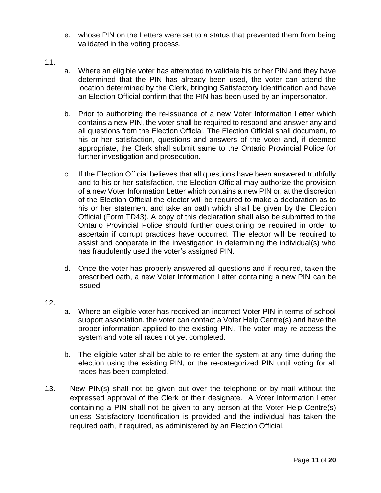- e. whose PIN on the Letters were set to a status that prevented them from being validated in the voting process.
- 11.
- a. Where an eligible voter has attempted to validate his or her PIN and they have determined that the PIN has already been used, the voter can attend the location determined by the Clerk, bringing Satisfactory Identification and have an Election Official confirm that the PIN has been used by an impersonator.
- b. Prior to authorizing the re-issuance of a new Voter Information Letter which contains a new PIN, the voter shall be required to respond and answer any and all questions from the Election Official. The Election Official shall document, to his or her satisfaction, questions and answers of the voter and, if deemed appropriate, the Clerk shall submit same to the Ontario Provincial Police for further investigation and prosecution.
- c. If the Election Official believes that all questions have been answered truthfully and to his or her satisfaction, the Election Official may authorize the provision of a new Voter Information Letter which contains a new PIN or, at the discretion of the Election Official the elector will be required to make a declaration as to his or her statement and take an oath which shall be given by the Election Official (Form TD43). A copy of this declaration shall also be submitted to the Ontario Provincial Police should further questioning be required in order to ascertain if corrupt practices have occurred. The elector will be required to assist and cooperate in the investigation in determining the individual(s) who has fraudulently used the voter's assigned PIN.
- d. Once the voter has properly answered all questions and if required, taken the prescribed oath, a new Voter Information Letter containing a new PIN can be issued.
- 12.
- a. Where an eligible voter has received an incorrect Voter PIN in terms of school support association, the voter can contact a Voter Help Centre(s) and have the proper information applied to the existing PIN. The voter may re-access the system and vote all races not yet completed.
- b. The eligible voter shall be able to re-enter the system at any time during the election using the existing PIN, or the re-categorized PIN until voting for all races has been completed.
- 13. New PIN(s) shall not be given out over the telephone or by mail without the expressed approval of the Clerk or their designate. A Voter Information Letter containing a PIN shall not be given to any person at the Voter Help Centre(s) unless Satisfactory Identification is provided and the individual has taken the required oath, if required, as administered by an Election Official.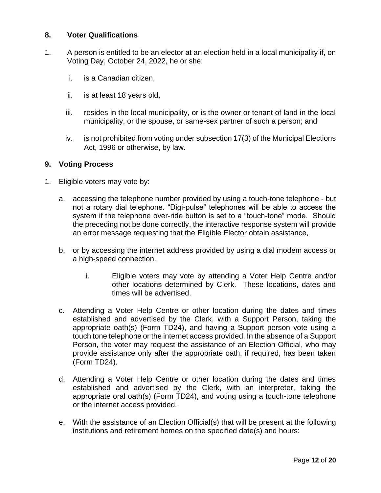#### <span id="page-13-0"></span>**8. Voter Qualifications**

- 1. A person is entitled to be an elector at an election held in a local municipality if, on Voting Day, October 24, 2022, he or she:
	- i. is a Canadian citizen,
	- ii. is at least 18 years old,
	- iii. resides in the local municipality, or is the owner or tenant of land in the local municipality, or the spouse, or same-sex partner of such a person; and
	- iv. is not prohibited from voting under subsection 17(3) of the Municipal Elections Act, 1996 or otherwise, by law.

#### <span id="page-13-1"></span>**9. Voting Process**

- 1. Eligible voters may vote by:
	- a. accessing the telephone number provided by using a touch-tone telephone but not a rotary dial telephone. "Digi-pulse" telephones will be able to access the system if the telephone over-ride button is set to a "touch-tone" mode. Should the preceding not be done correctly, the interactive response system will provide an error message requesting that the Eligible Elector obtain assistance,
	- b. or by accessing the internet address provided by using a dial modem access or a high-speed connection.
		- i. Eligible voters may vote by attending a Voter Help Centre and/or other locations determined by Clerk. These locations, dates and times will be advertised.
	- c. Attending a Voter Help Centre or other location during the dates and times established and advertised by the Clerk, with a Support Person, taking the appropriate oath(s) (Form TD24), and having a Support person vote using a touch tone telephone or the internet access provided. In the absence of a Support Person, the voter may request the assistance of an Election Official, who may provide assistance only after the appropriate oath, if required, has been taken (Form TD24).
	- d. Attending a Voter Help Centre or other location during the dates and times established and advertised by the Clerk, with an interpreter, taking the appropriate oral oath(s) (Form TD24), and voting using a touch-tone telephone or the internet access provided.
	- e. With the assistance of an Election Official(s) that will be present at the following institutions and retirement homes on the specified date(s) and hours: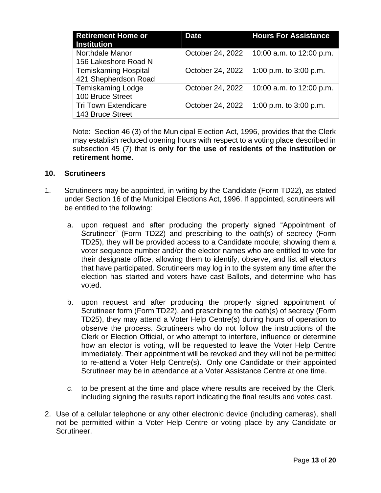| <b>Retirement Home or</b><br><b>Institution</b>     | <b>Date</b>      | <b>Hours For Assistance</b> |
|-----------------------------------------------------|------------------|-----------------------------|
| Northdale Manor<br>156 Lakeshore Road N             | October 24, 2022 | 10:00 a.m. to 12:00 p.m.    |
| <b>Temiskaming Hospital</b><br>421 Shepherdson Road | October 24, 2022 | 1:00 p.m. to $3:00$ p.m.    |
| <b>Temiskaming Lodge</b><br>100 Bruce Street        | October 24, 2022 | 10:00 a.m. to 12:00 p.m.    |
| <b>Tri Town Extendicare</b><br>143 Bruce Street     | October 24, 2022 | 1:00 p.m. to 3:00 p.m.      |

Note: Section 46 (3) of the Municipal Election Act, 1996, provides that the Clerk may establish reduced opening hours with respect to a voting place described in subsection 45 (7) that is **only for the use of residents of the institution or retirement home**.

#### <span id="page-14-0"></span>**10. Scrutineers**

- 1. Scrutineers may be appointed, in writing by the Candidate (Form TD22), as stated under Section 16 of the Municipal Elections Act, 1996. If appointed, scrutineers will be entitled to the following:
	- a. upon request and after producing the properly signed "Appointment of Scrutineer" (Form TD22) and prescribing to the oath(s) of secrecy (Form TD25), they will be provided access to a Candidate module; showing them a voter sequence number and/or the elector names who are entitled to vote for their designate office, allowing them to identify, observe, and list all electors that have participated. Scrutineers may log in to the system any time after the election has started and voters have cast Ballots, and determine who has voted.
	- b. upon request and after producing the properly signed appointment of Scrutineer form (Form TD22), and prescribing to the oath(s) of secrecy (Form TD25), they may attend a Voter Help Centre(s) during hours of operation to observe the process. Scrutineers who do not follow the instructions of the Clerk or Election Official, or who attempt to interfere, influence or determine how an elector is voting, will be requested to leave the Voter Help Centre immediately. Their appointment will be revoked and they will not be permitted to re-attend a Voter Help Centre(s). Only one Candidate or their appointed Scrutineer may be in attendance at a Voter Assistance Centre at one time.
	- c. to be present at the time and place where results are received by the Clerk, including signing the results report indicating the final results and votes cast.
- 2. Use of a cellular telephone or any other electronic device (including cameras), shall not be permitted within a Voter Help Centre or voting place by any Candidate or Scrutineer.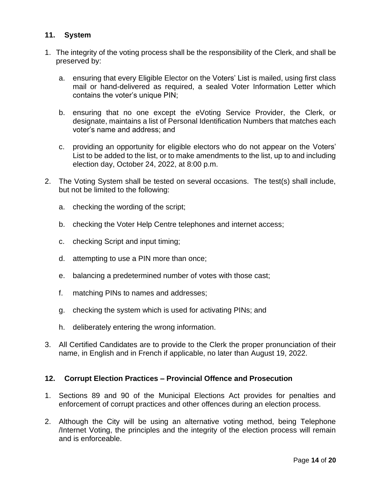#### <span id="page-15-0"></span>**11. System**

- 1. The integrity of the voting process shall be the responsibility of the Clerk, and shall be preserved by:
	- a. ensuring that every Eligible Elector on the Voters' List is mailed, using first class mail or hand-delivered as required, a sealed Voter Information Letter which contains the voter's unique PIN;
	- b. ensuring that no one except the eVoting Service Provider, the Clerk, or designate, maintains a list of Personal Identification Numbers that matches each voter's name and address; and
	- c. providing an opportunity for eligible electors who do not appear on the Voters' List to be added to the list, or to make amendments to the list, up to and including election day, October 24, 2022, at 8:00 p.m.
- 2. The Voting System shall be tested on several occasions. The test(s) shall include, but not be limited to the following:
	- a. checking the wording of the script;
	- b. checking the Voter Help Centre telephones and internet access;
	- c. checking Script and input timing;
	- d. attempting to use a PIN more than once;
	- e. balancing a predetermined number of votes with those cast;
	- f. matching PINs to names and addresses;
	- g. checking the system which is used for activating PINs; and
	- h. deliberately entering the wrong information.
- 3. All Certified Candidates are to provide to the Clerk the proper pronunciation of their name, in English and in French if applicable, no later than August 19, 2022.

#### <span id="page-15-1"></span>**12. Corrupt Election Practices – Provincial Offence and Prosecution**

- 1. Sections 89 and 90 of the Municipal Elections Act provides for penalties and enforcement of corrupt practices and other offences during an election process.
- 2. Although the City will be using an alternative voting method, being Telephone /Internet Voting, the principles and the integrity of the election process will remain and is enforceable.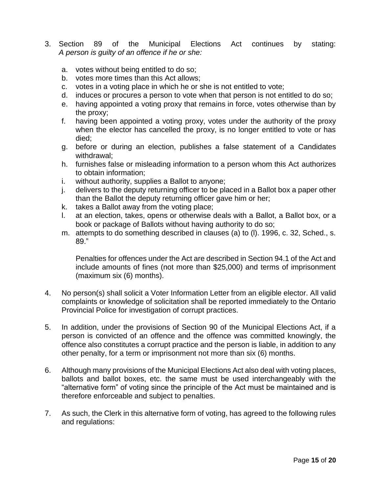- 3. Section 89 of the Municipal Elections Act continues by stating: *A person is guilty of an offence if he or she:*
	- a. votes without being entitled to do so;
	- b. votes more times than this Act allows;
	- c. votes in a voting place in which he or she is not entitled to vote;
	- d. induces or procures a person to vote when that person is not entitled to do so;
	- e. having appointed a voting proxy that remains in force, votes otherwise than by the proxy;
	- f. having been appointed a voting proxy, votes under the authority of the proxy when the elector has cancelled the proxy, is no longer entitled to vote or has died;
	- g. before or during an election, publishes a false statement of a Candidates withdrawal;
	- h. furnishes false or misleading information to a person whom this Act authorizes to obtain information;
	- i. without authority, supplies a Ballot to anyone;
	- j. delivers to the deputy returning officer to be placed in a Ballot box a paper other than the Ballot the deputy returning officer gave him or her;
	- k. takes a Ballot away from the voting place;
	- l. at an election, takes, opens or otherwise deals with a Ballot, a Ballot box, or a book or package of Ballots without having authority to do so;
	- m. attempts to do something described in clauses (a) to (l). 1996, c. 32, Sched., s. 89."

Penalties for offences under the Act are described in Section 94.1 of the Act and include amounts of fines (not more than \$25,000) and terms of imprisonment (maximum six (6) months).

- 4. No person(s) shall solicit a Voter Information Letter from an eligible elector. All valid complaints or knowledge of solicitation shall be reported immediately to the Ontario Provincial Police for investigation of corrupt practices.
- 5. In addition, under the provisions of Section 90 of the Municipal Elections Act, if a person is convicted of an offence and the offence was committed knowingly, the offence also constitutes a corrupt practice and the person is liable, in addition to any other penalty, for a term or imprisonment not more than six (6) months.
- 6. Although many provisions of the Municipal Elections Act also deal with voting places, ballots and ballot boxes, etc. the same must be used interchangeably with the "alternative form" of voting since the principle of the Act must be maintained and is therefore enforceable and subject to penalties.
- 7. As such, the Clerk in this alternative form of voting, has agreed to the following rules and regulations: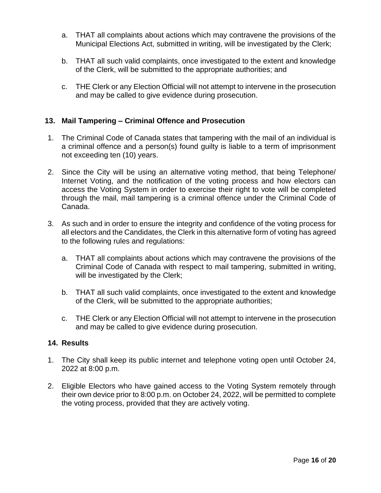- a. THAT all complaints about actions which may contravene the provisions of the Municipal Elections Act, submitted in writing, will be investigated by the Clerk;
- b. THAT all such valid complaints, once investigated to the extent and knowledge of the Clerk, will be submitted to the appropriate authorities; and
- c. THE Clerk or any Election Official will not attempt to intervene in the prosecution and may be called to give evidence during prosecution.

#### <span id="page-17-0"></span>**13. Mail Tampering – Criminal Offence and Prosecution**

- 1. The Criminal Code of Canada states that tampering with the mail of an individual is a criminal offence and a person(s) found guilty is liable to a term of imprisonment not exceeding ten (10) years.
- 2. Since the City will be using an alternative voting method, that being Telephone/ Internet Voting, and the notification of the voting process and how electors can access the Voting System in order to exercise their right to vote will be completed through the mail, mail tampering is a criminal offence under the Criminal Code of Canada.
- 3. As such and in order to ensure the integrity and confidence of the voting process for all electors and the Candidates, the Clerk in this alternative form of voting has agreed to the following rules and regulations:
	- a. THAT all complaints about actions which may contravene the provisions of the Criminal Code of Canada with respect to mail tampering, submitted in writing, will be investigated by the Clerk;
	- b. THAT all such valid complaints, once investigated to the extent and knowledge of the Clerk, will be submitted to the appropriate authorities;
	- c. THE Clerk or any Election Official will not attempt to intervene in the prosecution and may be called to give evidence during prosecution.

#### <span id="page-17-1"></span>**14. Results**

- 1. The City shall keep its public internet and telephone voting open until October 24, 2022 at 8:00 p.m.
- 2. Eligible Electors who have gained access to the Voting System remotely through their own device prior to 8:00 p.m. on October 24, 2022, will be permitted to complete the voting process, provided that they are actively voting.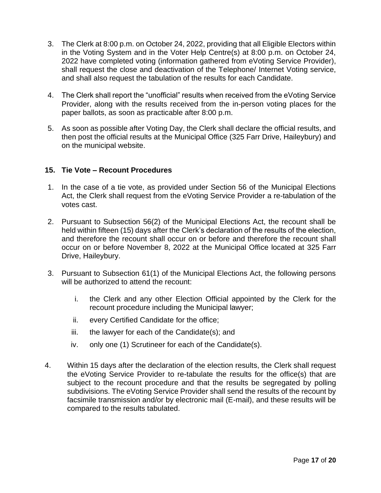- 3. The Clerk at 8:00 p.m. on October 24, 2022, providing that all Eligible Electors within in the Voting System and in the Voter Help Centre(s) at 8:00 p.m. on October 24, 2022 have completed voting (information gathered from eVoting Service Provider), shall request the close and deactivation of the Telephone/ Internet Voting service, and shall also request the tabulation of the results for each Candidate.
- 4. The Clerk shall report the "unofficial" results when received from the eVoting Service Provider, along with the results received from the in-person voting places for the paper ballots, as soon as practicable after 8:00 p.m.
- 5. As soon as possible after Voting Day, the Clerk shall declare the official results, and then post the official results at the Municipal Office (325 Farr Drive, Haileybury) and on the municipal website.

#### <span id="page-18-0"></span>**15. Tie Vote – Recount Procedures**

- 1. In the case of a tie vote, as provided under Section 56 of the Municipal Elections Act, the Clerk shall request from the eVoting Service Provider a re-tabulation of the votes cast.
- 2. Pursuant to Subsection 56(2) of the Municipal Elections Act, the recount shall be held within fifteen (15) days after the Clerk's declaration of the results of the election, and therefore the recount shall occur on or before and therefore the recount shall occur on or before November 8, 2022 at the Municipal Office located at 325 Farr Drive, Haileybury.
- 3. Pursuant to Subsection 61(1) of the Municipal Elections Act, the following persons will be authorized to attend the recount:
	- i. the Clerk and any other Election Official appointed by the Clerk for the recount procedure including the Municipal lawyer;
	- ii. every Certified Candidate for the office;
	- iii. the lawyer for each of the Candidate(s); and
	- iv. only one (1) Scrutineer for each of the Candidate(s).
- 4. Within 15 days after the declaration of the election results, the Clerk shall request the eVoting Service Provider to re-tabulate the results for the office(s) that are subject to the recount procedure and that the results be segregated by polling subdivisions. The eVoting Service Provider shall send the results of the recount by facsimile transmission and/or by electronic mail (E-mail), and these results will be compared to the results tabulated.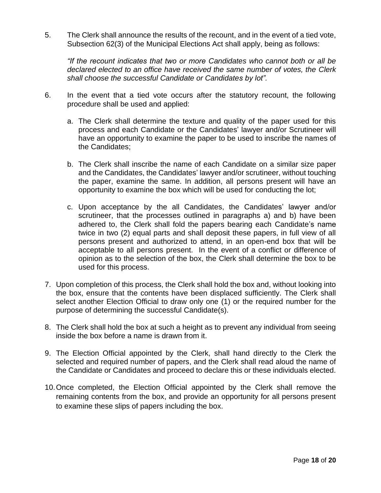5. The Clerk shall announce the results of the recount, and in the event of a tied vote, Subsection 62(3) of the Municipal Elections Act shall apply, being as follows:

*"If the recount indicates that two or more Candidates who cannot both or all be declared elected to an office have received the same number of votes, the Clerk shall choose the successful Candidate or Candidates by lot".*

- 6. In the event that a tied vote occurs after the statutory recount, the following procedure shall be used and applied:
	- a. The Clerk shall determine the texture and quality of the paper used for this process and each Candidate or the Candidates' lawyer and/or Scrutineer will have an opportunity to examine the paper to be used to inscribe the names of the Candidates;
	- b. The Clerk shall inscribe the name of each Candidate on a similar size paper and the Candidates, the Candidates' lawyer and/or scrutineer, without touching the paper, examine the same. In addition, all persons present will have an opportunity to examine the box which will be used for conducting the lot;
	- c. Upon acceptance by the all Candidates, the Candidates' lawyer and/or scrutineer, that the processes outlined in paragraphs a) and b) have been adhered to, the Clerk shall fold the papers bearing each Candidate's name twice in two (2) equal parts and shall deposit these papers, in full view of all persons present and authorized to attend, in an open-end box that will be acceptable to all persons present. In the event of a conflict or difference of opinion as to the selection of the box, the Clerk shall determine the box to be used for this process.
- 7. Upon completion of this process, the Clerk shall hold the box and, without looking into the box, ensure that the contents have been displaced sufficiently. The Clerk shall select another Election Official to draw only one (1) or the required number for the purpose of determining the successful Candidate(s).
- 8. The Clerk shall hold the box at such a height as to prevent any individual from seeing inside the box before a name is drawn from it.
- 9. The Election Official appointed by the Clerk, shall hand directly to the Clerk the selected and required number of papers, and the Clerk shall read aloud the name of the Candidate or Candidates and proceed to declare this or these individuals elected.
- <span id="page-19-0"></span>10.Once completed, the Election Official appointed by the Clerk shall remove the remaining contents from the box, and provide an opportunity for all persons present to examine these slips of papers including the box.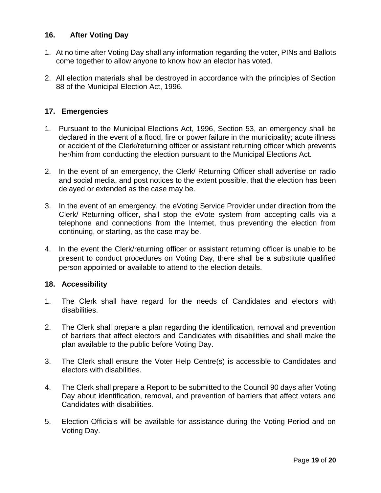#### **16. After Voting Day**

- 1. At no time after Voting Day shall any information regarding the voter, PINs and Ballots come together to allow anyone to know how an elector has voted.
- 2. All election materials shall be destroyed in accordance with the principles of Section 88 of the Municipal Election Act, 1996.

#### <span id="page-20-0"></span>**17. Emergencies**

- 1. Pursuant to the Municipal Elections Act, 1996, Section 53, an emergency shall be declared in the event of a flood, fire or power failure in the municipality; acute illness or accident of the Clerk/returning officer or assistant returning officer which prevents her/him from conducting the election pursuant to the Municipal Elections Act.
- 2. In the event of an emergency, the Clerk/ Returning Officer shall advertise on radio and social media, and post notices to the extent possible, that the election has been delayed or extended as the case may be.
- 3. In the event of an emergency, the eVoting Service Provider under direction from the Clerk/ Returning officer, shall stop the eVote system from accepting calls via a telephone and connections from the Internet, thus preventing the election from continuing, or starting, as the case may be.
- 4. In the event the Clerk/returning officer or assistant returning officer is unable to be present to conduct procedures on Voting Day, there shall be a substitute qualified person appointed or available to attend to the election details.

#### <span id="page-20-1"></span>**18. Accessibility**

- 1. The Clerk shall have regard for the needs of Candidates and electors with disabilities.
- 2. The Clerk shall prepare a plan regarding the identification, removal and prevention of barriers that affect electors and Candidates with disabilities and shall make the plan available to the public before Voting Day.
- 3. The Clerk shall ensure the Voter Help Centre(s) is accessible to Candidates and electors with disabilities.
- 4. The Clerk shall prepare a Report to be submitted to the Council 90 days after Voting Day about identification, removal, and prevention of barriers that affect voters and Candidates with disabilities.
- 5. Election Officials will be available for assistance during the Voting Period and on Voting Day.